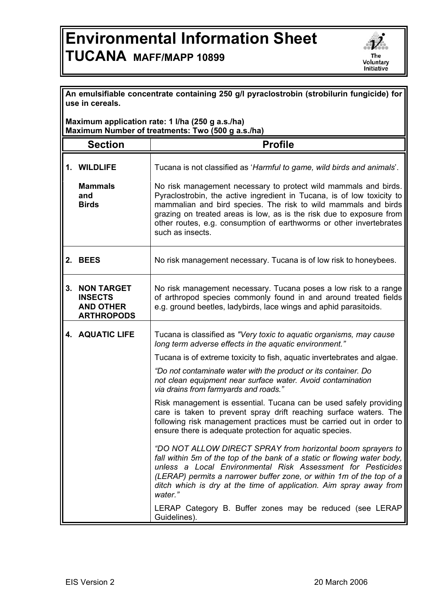## **Environmental Information Sheet TUCANA MAFF/MAPP 10899**



|                                                                                                       | An emulsifiable concentrate containing 250 g/l pyraclostrobin (strobilurin fungicide) for<br>use in cereals. |                                                                                                                                                                                                                                                                                                                                                                 |  |  |
|-------------------------------------------------------------------------------------------------------|--------------------------------------------------------------------------------------------------------------|-----------------------------------------------------------------------------------------------------------------------------------------------------------------------------------------------------------------------------------------------------------------------------------------------------------------------------------------------------------------|--|--|
| Maximum application rate: 1 I/ha (250 g a.s./ha)<br>Maximum Number of treatments: Two (500 g a.s./ha) |                                                                                                              |                                                                                                                                                                                                                                                                                                                                                                 |  |  |
|                                                                                                       | <b>Section</b>                                                                                               | <b>Profile</b>                                                                                                                                                                                                                                                                                                                                                  |  |  |
|                                                                                                       | 1. WILDLIFE<br><b>Mammals</b><br>and<br><b>Birds</b>                                                         | Tucana is not classified as 'Harmful to game, wild birds and animals'.<br>No risk management necessary to protect wild mammals and birds.<br>Pyraclostrobin, the active ingredient in Tucana, is of low toxicity to<br>mammalian and bird species. The risk to wild mammals and birds<br>grazing on treated areas is low, as is the risk due to exposure from   |  |  |
|                                                                                                       |                                                                                                              | other routes, e.g. consumption of earthworms or other invertebrates<br>such as insects.                                                                                                                                                                                                                                                                         |  |  |
|                                                                                                       | 2. BEES                                                                                                      | No risk management necessary. Tucana is of low risk to honeybees.                                                                                                                                                                                                                                                                                               |  |  |
| 3.                                                                                                    | <b>NON TARGET</b><br><b>INSECTS</b><br><b>AND OTHER</b><br><b>ARTHROPODS</b>                                 | No risk management necessary. Tucana poses a low risk to a range<br>of arthropod species commonly found in and around treated fields<br>e.g. ground beetles, ladybirds, lace wings and aphid parasitoids.                                                                                                                                                       |  |  |
|                                                                                                       | <b>4. AQUATIC LIFE</b>                                                                                       | Tucana is classified as "Very toxic to aquatic organisms, may cause<br>long term adverse effects in the aquatic environment."                                                                                                                                                                                                                                   |  |  |
|                                                                                                       |                                                                                                              | Tucana is of extreme toxicity to fish, aquatic invertebrates and algae.                                                                                                                                                                                                                                                                                         |  |  |
|                                                                                                       |                                                                                                              | "Do not contaminate water with the product or its container. Do<br>not clean equipment near surface water. Avoid contamination<br>via drains from farmyards and roads."                                                                                                                                                                                         |  |  |
|                                                                                                       |                                                                                                              | Risk management is essential. Tucana can be used safely providing<br>care is taken to prevent spray drift reaching surface waters. The<br>following risk management practices must be carried out in order to<br>ensure there is adequate protection for aquatic species.                                                                                       |  |  |
|                                                                                                       |                                                                                                              | "DO NOT ALLOW DIRECT SPRAY from horizontal boom sprayers to<br>fall within 5m of the top of the bank of a static or flowing water body,<br>unless a Local Environmental Risk Assessment for Pesticides<br>(LERAP) permits a narrower buffer zone, or within 1m of the top of a<br>ditch which is dry at the time of application. Aim spray away from<br>water." |  |  |
|                                                                                                       |                                                                                                              | LERAP Category B. Buffer zones may be reduced (see LERAP<br>Guidelines).                                                                                                                                                                                                                                                                                        |  |  |